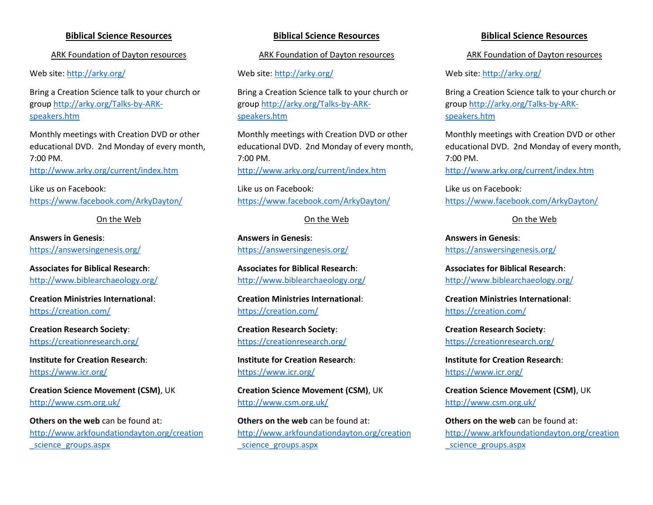# **Biblical Science Resources**

ARK Foundation of Dayton resources

Web site:<http://arky.org/>

Bring a Creation Science talk to your church or group [http://arky.org/Talks-by-ARK](http://arky.org/Talks-by-ARK-speakers.htm)[speakers.htm](http://arky.org/Talks-by-ARK-speakers.htm)

Monthly meetings with Creation DVD or other educational DVD. 2nd Monday of every month, 7:00 PM.

<http://www.arky.org/current/index.htm>

Like us on Facebook: <https://www.facebook.com/ArkyDayton/>

On the Web

**Answers in Genesis**: <https://answersingenesis.org/>

**Associates for Biblical Research**: <http://www.biblearchaeology.org/>

**Creation Ministries International**: <https://creation.com/>

**Creation Research Society**: <https://creationresearch.org/>

**Institute for Creation Research**: <https://www.icr.org/>

**Creation Science Movement (CSM)**, UK <http://www.csm.org.uk/>

**Others on the web** can be found at: [http://www.arkfoundationdayton.org/creation](http://www.arkfoundationdayton.org/creation_science_groups.aspx) [\\_science\\_groups.aspx](http://www.arkfoundationdayton.org/creation_science_groups.aspx)

# **Biblical Science Resources**

ARK Foundation of Dayton resources

Web site:<http://arky.org/>

Bring a Creation Science talk to your church or group [http://arky.org/Talks-by-ARK](http://arky.org/Talks-by-ARK-speakers.htm)[speakers.htm](http://arky.org/Talks-by-ARK-speakers.htm)

Monthly meetings with Creation DVD or other educational DVD. 2nd Monday of every month, 7:00 PM. <http://www.arky.org/current/index.htm>

Like us on Facebook: <https://www.facebook.com/ArkyDayton/>

On the Web

**Answers in Genesis**: <https://answersingenesis.org/>

**Associates for Biblical Research**: <http://www.biblearchaeology.org/>

**Creation Ministries International**: <https://creation.com/>

**Creation Research Society**: <https://creationresearch.org/>

**Institute for Creation Research**: <https://www.icr.org/>

**Creation Science Movement (CSM)**, UK <http://www.csm.org.uk/>

**Others on the web** can be found at: [http://www.arkfoundationdayton.org/creation](http://www.arkfoundationdayton.org/creation_science_groups.aspx) [\\_science\\_groups.aspx](http://www.arkfoundationdayton.org/creation_science_groups.aspx)

# **Biblical Science Resources**

ARK Foundation of Dayton resources

Web site:<http://arky.org/>

Bring a Creation Science talk to your church or group [http://arky.org/Talks-by-ARK](http://arky.org/Talks-by-ARK-speakers.htm)[speakers.htm](http://arky.org/Talks-by-ARK-speakers.htm)

Monthly meetings with Creation DVD or other educational DVD. 2nd Monday of every month, 7:00 PM.

<http://www.arky.org/current/index.htm>

Like us on Facebook: <https://www.facebook.com/ArkyDayton/>

## On the Web

**Answers in Genesis**: <https://answersingenesis.org/>

**Associates for Biblical Research**: <http://www.biblearchaeology.org/>

**Creation Ministries International**: <https://creation.com/>

**Creation Research Society**: <https://creationresearch.org/>

**Institute for Creation Research**: <https://www.icr.org/>

**Creation Science Movement (CSM)**, UK <http://www.csm.org.uk/>

**Others on the web** can be found at: [http://www.arkfoundationdayton.org/creation](http://www.arkfoundationdayton.org/creation_science_groups.aspx) science\_groups.aspx